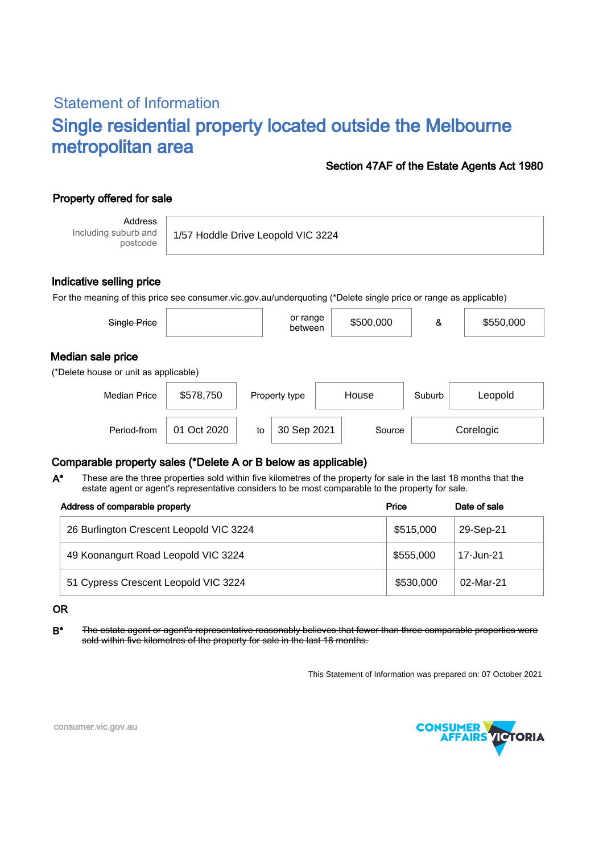# Statement of Information Single residential property located outside the Melbourne metropolitan area

## Section 47AF of the Estate Agents Act 1980

# Property offered for sale

Address Including suburb and postcode

1/57 Hoddle Drive Leopold VIC 3224

## Indicative selling price

For the meaning of this price see consumer.vic.gov.au/underquoting (\*Delete single price or range as applicable)

| Single Price                                               |           | or range<br>between | \$500,000 | &      | \$550,000 |  |  |  |
|------------------------------------------------------------|-----------|---------------------|-----------|--------|-----------|--|--|--|
| Median sale price<br>(*Delete house or unit as applicable) |           |                     |           |        |           |  |  |  |
| <b>Median Price</b>                                        | \$578,750 | Property type       | House     | Suburb | Leopold   |  |  |  |
|                                                            |           |                     |           |        |           |  |  |  |

Period-from | 01 Oct 2020 | to | 30 Sep 2021 | Source | Corelogic

## Comparable property sales (\*Delete A or B below as applicable)

These are the three properties sold within five kilometres of the property for sale in the last 18 months that the estate agent or agent's representative considers to be most comparable to the property for sale. A\*

| Address of comparable property          | Price     | Date of sale |  |  |
|-----------------------------------------|-----------|--------------|--|--|
| 26 Burlington Crescent Leopold VIC 3224 | \$515,000 | 29-Sep-21    |  |  |
| 49 Koonangurt Road Leopold VIC 3224     | \$555,000 | 17-Jun-21    |  |  |
| 51 Cypress Crescent Leopold VIC 3224    | \$530,000 | 02-Mar-21    |  |  |

#### OR

B<sup>\*</sup> The estate agent or agent's representative reasonably believes that fewer than three comparable properties were sold within five kilometres of the property for sale in the last 18 months.

This Statement of Information was prepared on: 07 October 2021



consumer.vic.gov.au